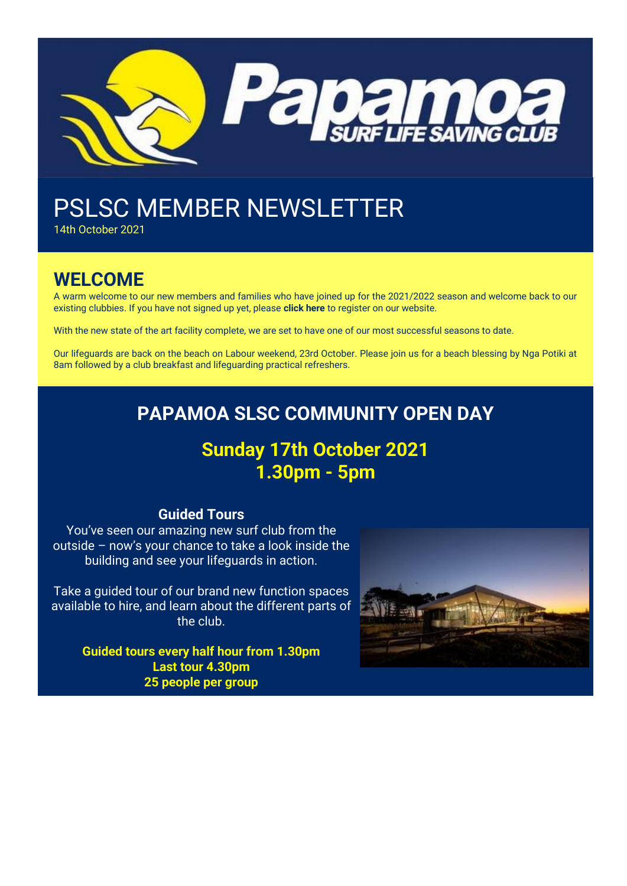

# PSLSC MEMBER NEWSLETTER

14th October 2021

## **WELCOME**

A warm welcome to our new members and families who have joined up for the 2021/2022 season and welcome back to our existing clubbies. If you have not signed up yet, please **[click here](https://papamoalifeguards.co.nz/register)** to register on our website.

With the new state of the art facility complete, we are set to have one of our most successful seasons to date.

Our lifeguards are back on the beach on Labour weekend, 23rd October. Please join us for a beach blessing by Nga Potiki at 8am followed by a club breakfast and lifeguarding practical refreshers.

## **PAPAMOA SLSC COMMUNITY OPEN DAY**

## **Sunday 17th October 2021 1.30pm - 5pm**

### **Guided Tours**

You've seen our amazing new surf club from the outside – now's your chance to take a look inside the building and see your lifeguards in action.

Take a guided tour of our brand new function spaces available to hire, and learn about the different parts of the club.

> **Guided tours every half hour from 1.30pm Last tour 4.30pm 25 people per group**

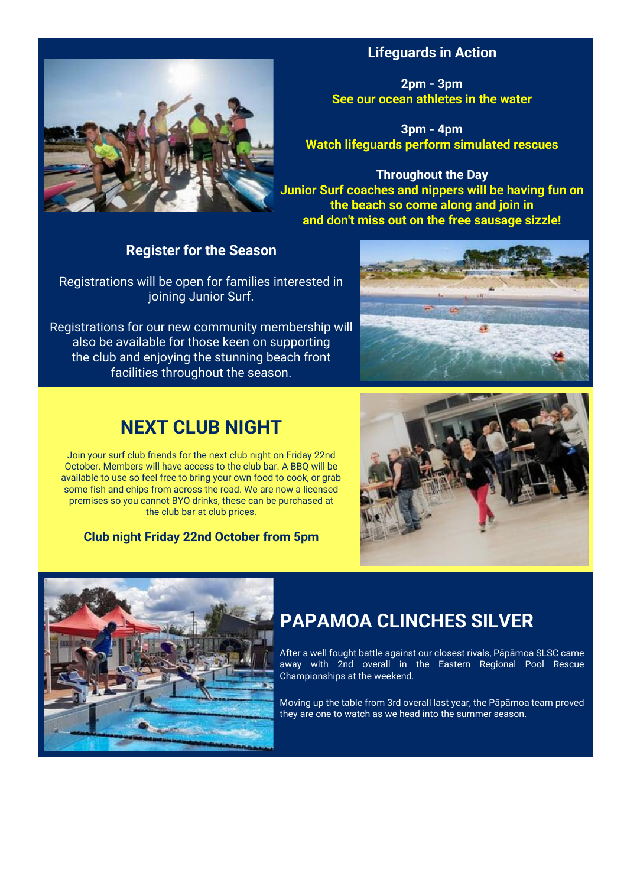

## **Lifeguards in Action**

**2pm - 3pm See our ocean athletes in the water**

**3pm - 4pm Watch lifeguards perform simulated rescues**

**Throughout the Day Junior Surf coaches and nippers will be having fun on the beach so come along and join in and don't miss out on the free sausage sizzle!**

## **Register for the Season**

Registrations will be open for families interested in joining Junior Surf.

Registrations for our new community membership will also be available for those keen on supporting the club and enjoying the stunning beach front facilities throughout the season.



## **NEXT CLUB NIGHT**

Join your surf club friends for the next club night on Friday 22nd October. Members will have access to the club bar. A BBQ will be available to use so feel free to bring your own food to cook, or grab some fish and chips from across the road. We are now a licensed premises so you cannot BYO drinks, these can be purchased at the club bar at club prices.

### **Club night Friday 22nd October from 5pm**





## **PAPAMOA CLINCHES SILVER**

After a well fought battle against our closest rivals, Pāpāmoa SLSC came away with 2nd overall in the Eastern Regional Pool Rescue Championships at the weekend.

Moving up the table from 3rd overall last year, the Pāpāmoa team proved they are one to watch as we head into the summer season.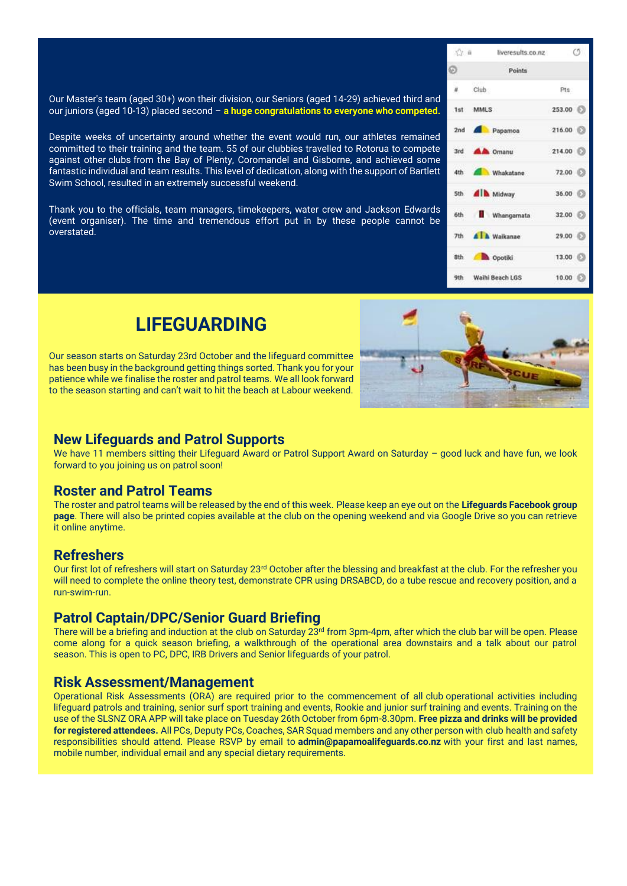Our Master's team (aged 30+) won their division, our Seniors (aged 14-29) achieved third and our juniors (aged 10-13) placed second – **a huge congratulations to everyone who competed.**

Despite weeks of uncertainty around whether the event would run, our athletes remained committed to their training and the team. 55 of our clubbies travelled to Rotorua to compete against other clubs from the Bay of Plenty, Coromandel and Gisborne, and achieved some fantastic individual and team results. This level of dedication, along with the support of Bartlett Swim School, resulted in an extremely successful weekend.

Thank you to the officials, team managers, timekeepers, water crew and Jackson Edwards (event organiser). The time and tremendous effort put in by these people cannot be overstated.

|    | liveresults.co.nz (5)<br>52.0 |                 |  |
|----|-------------------------------|-----------------|--|
| Ð. | Points                        |                 |  |
|    | $#$ Club                      | Pts:            |  |
|    | 1st MMLS                      | 253.00          |  |
|    | 2nd <b>All</b> Papamoa        | 216.00          |  |
|    | 3rd <b>AA</b> Omanu           | 214.00          |  |
|    | 4th Mhakatane 72.00           |                 |  |
|    | 5th <b>All</b> Midway         | 36.00           |  |
|    | 6th <b>Whangamata</b>         | 32.00           |  |
|    | 7th <b>All</b> Walkanae       | 29.00           |  |
|    | 8th <b>b</b> Opotiki          | $13.00$ $($     |  |
|    | 9th Waihi Beach LGS           | $10.00$ $\odot$ |  |

## **LIFEGUARDING**

Our season starts on Saturday 23rd October and the lifeguard committee has been busy in the background getting things sorted. Thank you for your patience while we finalise the roster and patrol teams. We all look forward to the season starting and can't wait to hit the beach at Labour weekend.



### **New Lifeguards and Patrol Supports**

We have 11 members sitting their Lifeguard Award or Patrol Support Award on Saturday – good luck and have fun, we look forward to you joining us on patrol soon!

### **Roster and Patrol Teams**

The roster and patrol teams will be released by the end of this week. Please keep an eye out on the **[Lifeguards Facebook group](https://www.facebook.com/groups/475572635954916)  [page](https://www.facebook.com/groups/475572635954916)**. There will also be printed copies available at the club on the opening weekend and via Google Drive so you can retrieve it online anytime.

### **Refreshers**

Our first lot of refreshers will start on Saturday 23<sup>rd</sup> October after the blessing and breakfast at the club. For the refresher you will need to complete the online theory test, demonstrate CPR using DRSABCD, do a tube rescue and recovery position, and a run-swim-run.

### **Patrol Captain/DPC/Senior Guard Briefing**

There will be a briefing and induction at the club on Saturday 23rd from 3pm-4pm, after which the club bar will be open. Please come along for a quick season briefing, a walkthrough of the operational area downstairs and a talk about our patrol season. This is open to PC, DPC, IRB Drivers and Senior lifeguards of your patrol.

### **Risk Assessment/Management**

Operational Risk Assessments (ORA) are required prior to the commencement of all club operational activities including lifeguard patrols and training, senior surf sport training and events, Rookie and junior surf training and events. Training on the use of the SLSNZ ORA APP will take place on Tuesday 26th October from 6pm-8.30pm. **Free pizza and drinks will be provided for registered attendees.** All PCs, Deputy PCs, Coaches, SAR Squad members and any other person with club health and safety responsibilities should attend. Please RSVP by email to **[admin@papamoalifeguards.co.nz](mailto:admin@papamoalifeguards.co.nz)** with your first and last names, mobile number, individual email and any special dietary requirements.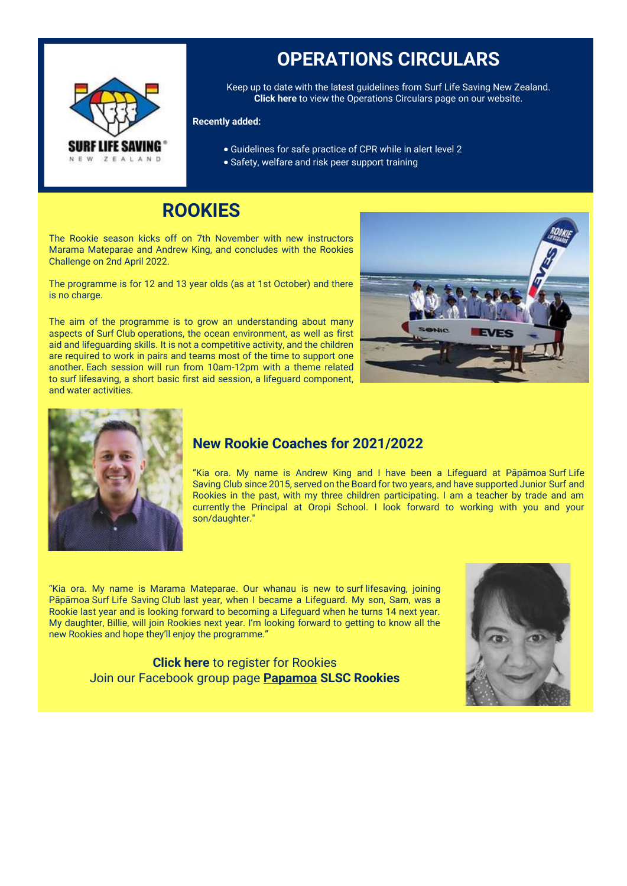

## **OPERATIONS CIRCULARS**

Keep up to date with the latest guidelines from Surf Life Saving New Zealand. **[Click here](https://papamoalifeguards.co.nz/lifeguarding/operations-circulars)** to view the Operations Circulars page on our website.

#### **Recently added:**

- Guidelines for safe practice of CPR while in alert level 2
- Safety, welfare and risk peer support training

## **ROOKIES**

The Rookie season kicks off on 7th November with new instructors Marama Mateparae and Andrew King, and concludes with the Rookies Challenge on 2nd April 2022.

The programme is for 12 and 13 year olds (as at 1st October) and there is no charge.

The aim of the programme is to grow an understanding about many aspects of Surf Club operations, the ocean environment, as well as first aid and lifeguarding skills. It is not a competitive activity, and the children are required to work in pairs and teams most of the time to support one another. Each session will run from 10am-12pm with a theme related to surf lifesaving, a short basic first aid session, a lifeguard component, and water activities.





### **New Rookie Coaches for 2021/2022**

"Kia ora. My name is Andrew King and I have been a Lifeguard at Pāpāmoa Surf Life Saving Club since 2015, served on the Board for two years, and have supported Junior Surf and Rookies in the past, with my three children participating. I am a teacher by trade and am currently the Principal at Oropi School. I look forward to working with you and your son/daughter."

"Kia ora. My name is Marama Mateparae. Our whanau is new to surf lifesaving, joining Pāpāmoa Surf Life Saving Club last year, when I became a Lifeguard. My son, Sam, was a Rookie last year and is looking forward to becoming a Lifeguard when he turns 14 next year. My daughter, Billie, will join Rookies next year. I'm looking forward to getting to know all the new Rookies and hope they'll enjoy the programme."

> **[Click here](https://papamoalifeguards.co.nz/lifeguarding/rookie-junior-lifeguarding)** to register for Rookies Join our Facebook group page **Papamoa [SLSC Rookies](https://www.facebook.com/groups/162154524366485)**

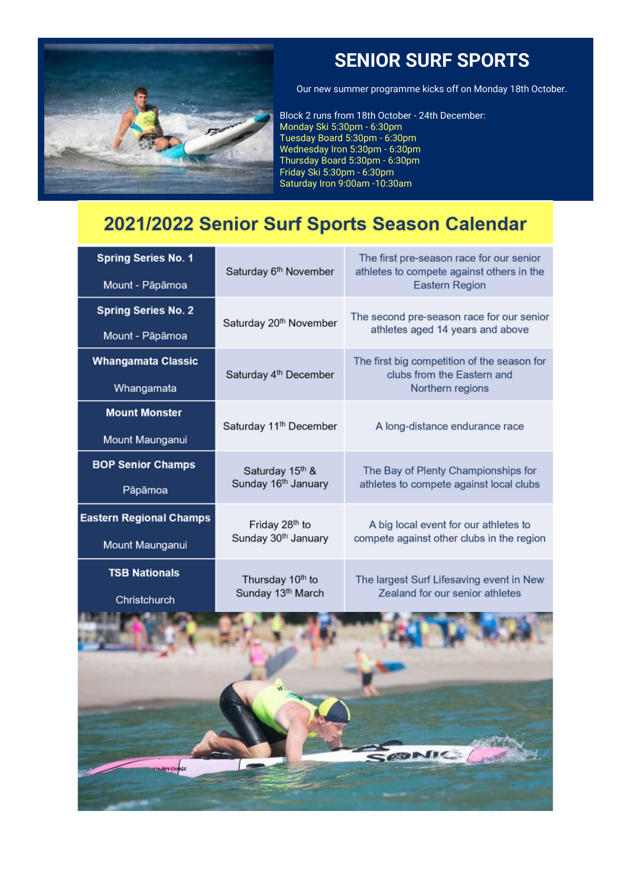

## **SENIOR SURF SPORTS**

Our new summer programme kicks off on Monday 18th October.

Block 2 runs from 18th October - 24th December: Monday Ski 5:30pm - 6:30pm Tuesday Board 5:30pm - 6:30pm Wednesday Iron 5:30pm - 6:30pm Thursday Board 5:30pm - 6:30pm Friday Ski 5:30pm - 6:30pm Saturday Iron 9:00am -10:30am

## 2021/2022 Senior Surf Sports Season Calendar

| <b>Spring Series No. 1</b>     | Saturday 6th November              | The first pre-season race for our senior<br>athletes to compete against others in the         |  |
|--------------------------------|------------------------------------|-----------------------------------------------------------------------------------------------|--|
| Mount - Pāpāmoa                |                                    | <b>Eastern Region</b>                                                                         |  |
| <b>Spring Series No. 2</b>     |                                    | The second pre-season race for our senior                                                     |  |
| Mount - Pāpāmoa                | Saturday 20 <sup>th</sup> November | athletes aged 14 years and above                                                              |  |
| <b>Whangamata Classic</b>      |                                    | The first big competition of the season for<br>clubs from the Eastern and<br>Northern regions |  |
| Whangamata                     | Saturday 4 <sup>th</sup> December  |                                                                                               |  |
| <b>Mount Monster</b>           |                                    |                                                                                               |  |
| Mount Maunganui                | Saturday 11 <sup>th</sup> December | A long-distance endurance race                                                                |  |
| <b>BOP Senior Champs</b>       | Saturday 15th &                    | The Bay of Plenty Championships for                                                           |  |
| Pāpāmoa                        | Sunday 16 <sup>th</sup> January    | athletes to compete against local clubs                                                       |  |
| <b>Eastern Regional Champs</b> | Friday 28th to                     | A big local event for our athletes to                                                         |  |
| Mount Maunganui                | Sunday 30 <sup>th</sup> January    | compete against other clubs in the region                                                     |  |
| <b>TSB Nationals</b>           | Thursday 10 <sup>th</sup> to       | The largest Surf Lifesaving event in New                                                      |  |
| Christchurch                   | Sunday 13th March                  | Zealand for our senior athletes                                                               |  |
|                                |                                    |                                                                                               |  |

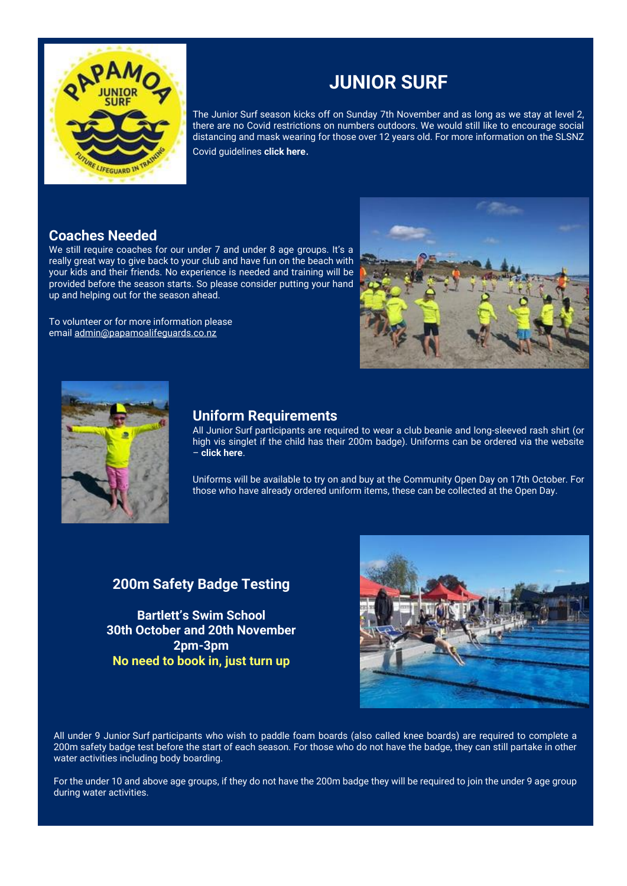

## **JUNIOR SURF**

The Junior Surf season kicks off on Sunday 7th November and as long as we stay at level 2, there are no Covid restrictions on numbers outdoors. We would still like to encourage social distancing and mask wearing for those over 12 years old. For more information on the SLSNZ Covid guidelines **[click here](https://www.surflifesaving.org.nz/club-management/health-safety/covid-19-updates)**.

### **Coaches Needed**

We still require coaches for our under 7 and under 8 age groups. It's a really great way to give back to your club and have fun on the beach with your kids and their friends. No experience is needed and training will be provided before the season starts. So please consider putting your hand up and helping out for the season ahead.

To volunteer or for more information please email [admin@papamoalifeguards.co.nz](mailto:admin@papamoalifeguards.co.nz)





### **Uniform Requirements**

All Junior Surf participants are required to wear a club beanie and long-sleeved rash shirt (or high vis singlet if the child has their 200m badge). Uniforms can be ordered via the website – **[click here](https://papamoalifeguards.co.nz/merchandise)**.

Uniforms will be available to try on and buy at the Community Open Day on 17th October. For those who have already ordered uniform items, these can be collected at the Open Day.

## **200m Safety Badge Testing**

**Bartlett's Swim School 30th October and 20th November 2pm-3pm No need to book in, just turn up**



All under 9 Junior Surf participants who wish to paddle foam boards (also called knee boards) are required to complete a 200m safety badge test before the start of each season. For those who do not have the badge, they can still partake in other water activities including body boarding.

For the under 10 and above age groups, if they do not have the 200m badge they will be required to join the under 9 age group during water activities.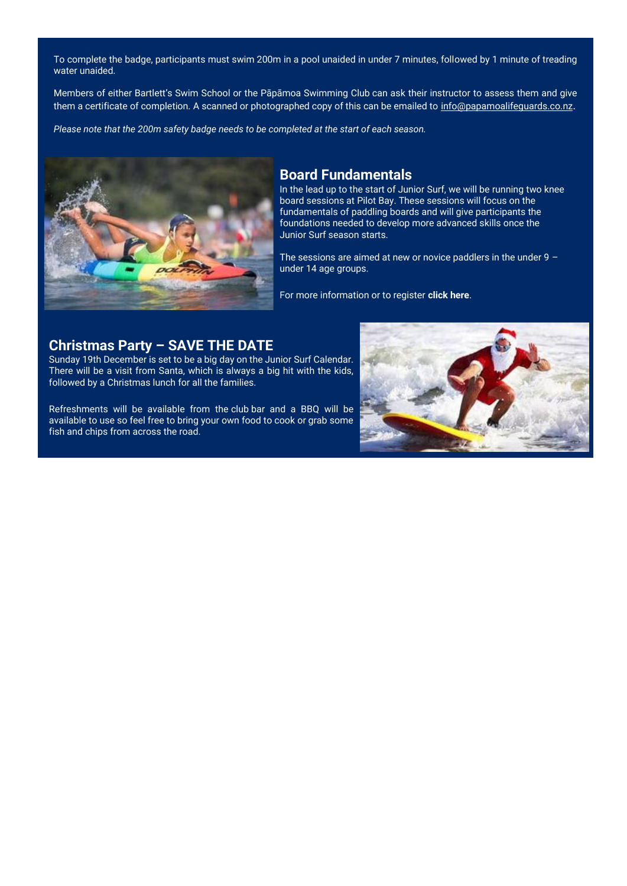To complete the badge, participants must swim 200m in a pool unaided in under 7 minutes, followed by 1 minute of treading water unaided.

Members of either Bartlett's Swim School or the Pāpāmoa Swimming Club can ask their instructor to assess them and give them a certificate of completion. A scanned or photographed copy of this can be emailed to [info@papamoalifeguards.co.nz](mailto:info@papamoalifeguards.co.nz).

*Please note that the 200m safety badge needs to be completed at the start of each season.*



### **Board Fundamentals**

In the lead up to the start of Junior Surf, we will be running two knee board sessions at Pilot Bay. These sessions will focus on the fundamentals of paddling boards and will give participants the foundations needed to develop more advanced skills once the Junior Surf season starts.

The sessions are aimed at new or novice paddlers in the under  $9$ under 14 age groups.

For more information or to register **[click here](https://papamoalifeguards.co.nz/junior-surf/board-fundamentals)**.

### **Christmas Party – SAVE THE DATE**

Sunday 19th December is set to be a big day on the Junior Surf Calendar. There will be a visit from Santa, which is always a big hit with the kids, followed by a Christmas lunch for all the families.

Refreshments will be available from the club bar and a BBQ will be available to use so feel free to bring your own food to cook or grab some fish and chips from across the road.

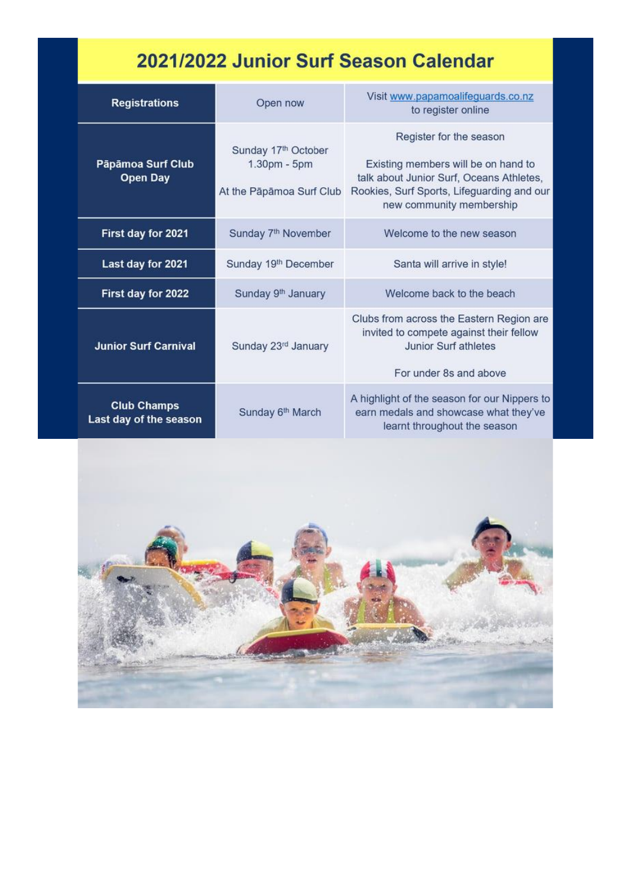# 2021/2022 Junior Surf Season Calendar

| <b>Registrations</b>                         | Open now                                                        | Visit www.papamoalifeguards.co.nz<br>to register online                                                                                                                              |
|----------------------------------------------|-----------------------------------------------------------------|--------------------------------------------------------------------------------------------------------------------------------------------------------------------------------------|
| Pāpāmoa Surf Club<br><b>Open Day</b>         | Sunday 17th October<br>1.30pm - 5pm<br>At the Pāpāmoa Surf Club | Register for the season<br>Existing members will be on hand to<br>talk about Junior Surf, Oceans Athletes,<br>Rookies, Surf Sports, Lifeguarding and our<br>new community membership |
| First day for 2021                           | Sunday 7 <sup>th</sup> November                                 | Welcome to the new season                                                                                                                                                            |
| Last day for 2021                            | Sunday 19th December                                            | Santa will arrive in style!                                                                                                                                                          |
| First day for 2022                           | Sunday 9 <sup>th</sup> January                                  | Welcome back to the beach                                                                                                                                                            |
| <b>Junior Surf Carnival</b>                  | Sunday 23rd January                                             | Clubs from across the Eastern Region are<br>invited to compete against their fellow<br>Junior Surf athletes<br>For under 8s and above                                                |
| <b>Club Champs</b><br>Last day of the season | Sunday 6 <sup>th</sup> March                                    | A highlight of the season for our Nippers to<br>earn medals and showcase what they've<br>learnt throughout the season                                                                |

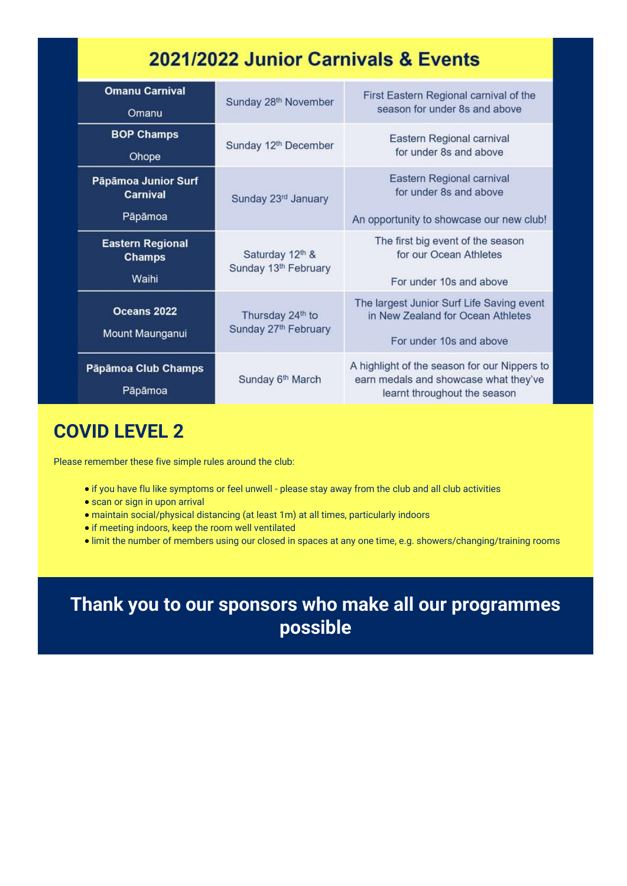## 2021/2022 Junior Carnivals & Events

| <b>Omanu Carnival</b><br>Omanu                    | Sunday 28 <sup>th</sup> November         | First Eastern Regional carnival of the<br>season for under 8s and above                                               |
|---------------------------------------------------|------------------------------------------|-----------------------------------------------------------------------------------------------------------------------|
| <b>BOP Champs</b><br>Ohope                        | Sunday 12 <sup>th</sup> December         | Eastern Regional carnival<br>for under 8s and above                                                                   |
| Päpämoa Junior Surf<br><b>Carnival</b><br>Pāpāmoa | Sunday 23rd January                      | Eastern Regional carnival<br>for under 8s and above<br>An opportunity to showcase our new club!                       |
| <b>Eastern Regional</b><br><b>Champs</b><br>Waihi | Saturday 12th &<br>Sunday 13th February  | The first big event of the season<br>for our Ocean Athletes<br>For under 10s and above                                |
| Oceans 2022<br>Mount Maunganui                    | Thursday 24th to<br>Sunday 27th February | The largest Junior Surf Life Saving event<br>in New Zealand for Ocean Athletes<br>For under 10s and above             |
| Pāpāmoa Club Champs<br>Pāpāmoa                    | Sunday 6 <sup>th</sup> March             | A highlight of the season for our Nippers to<br>earn medals and showcase what they've<br>learnt throughout the season |

## **COVID LEVEL 2**

Please remember these five simple rules around the club:

- if you have flu like symptoms or feel unwell please stay away from the club and all club activities
- scan or sign in upon arrival
- maintain social/physical distancing (at least 1m) at all times, particularly indoors
- if meeting indoors, keep the room well ventilated
- limit the number of members using our closed in spaces at any one time, e.g. showers/changing/training rooms

**Thank you to our sponsors who make all our programmes possible**